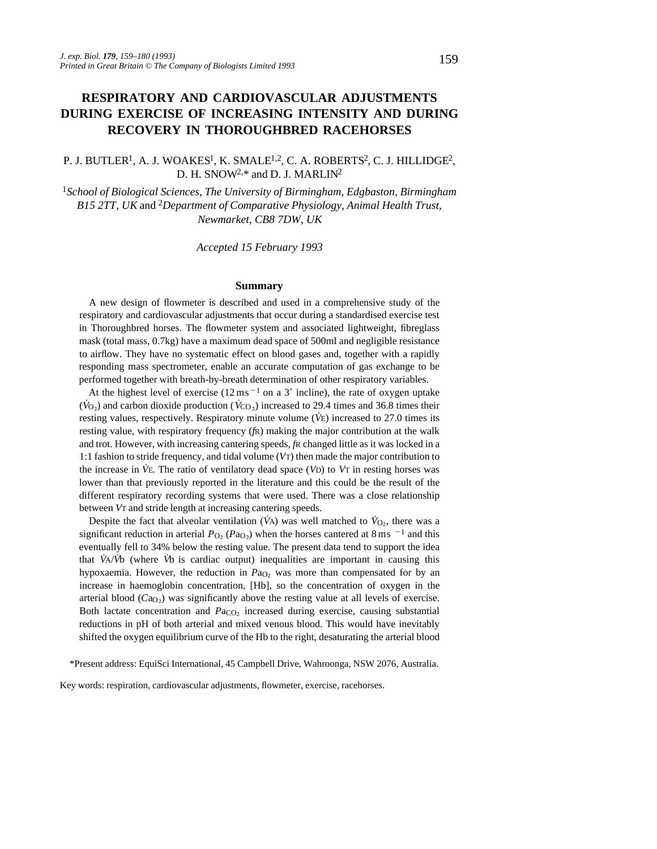# **RESPIRATORY AND CARDIOVASCULAR ADJUSTMENTS DURING EXERCISE OF INCREASING INTENSITY AND DURING RECOVERY IN THOROUGHBRED RACEHORSES**

# P. J. BUTLER<sup>1</sup>, A. J. WOAKES<sup>1</sup>, K. SMALE<sup>1,2</sup>, C. A. ROBERTS<sup>2</sup>, C. J. HILLIDGE<sup>2</sup>, D. H. SNOW<sup>2,\*</sup> and D. J. MARLIN<sup>2</sup>

<sup>1</sup>*School of Biological Sciences, The University of Birmingham, Edgbaston, Birmingham B15 2TT, UK* and 2*Department of Comparative Physiology, Animal Health Trust, Newmarket, CB8 7DW, UK*

*Accepted 15 February 1993*

#### **Summary**

A new design of flowmeter is described and used in a comprehensive study of the respiratory and cardiovascular adjustments that occur during a standardised exercise test in Thoroughbred horses. The flowmeter system and associated lightweight, fibreglass mask (total mass, 0.7kg) have a maximum dead space of 500ml and negligible resistance to airflow. They have no systematic effect on blood gases and, together with a rapidly responding mass spectrometer, enable an accurate computation of gas exchange to be performed together with breath-by-breath determination of other respiratory variables.

At the highest level of exercise  $(12 \text{ ms}^{-1} \text{ on a 3}^{\circ} \text{ incline})$ , the rate of oxygen uptake  $(\dot{V}_{O_2})$  and carbon dioxide production ( $\dot{V}_{CO_2}$ ) increased to 29.4 times and 36.8 times their resting values, respectively. Respiratory minute volume (*V˙*E) increased to 27.0 times its resting value, with respiratory frequency (*f*R) making the major contribution at the walk and trot. However, with increasing cantering speeds, *f*R changed little as it was locked in a 1:1 fashion to stride frequency, and tidal volume (*V*T) then made the major contribution to the increase in *V˙*E. The ratio of ventilatory dead space (*V*D) to *V*<sup>T</sup> in resting horses was lower than that previously reported in the literature and this could be the result of the different respiratory recording systems that were used. There was a close relationship between *V*T and stride length at increasing cantering speeds.

Despite the fact that alveolar ventilation ( $\dot{V}$ A) was well matched to  $\dot{V}_{O_2}$ , there was a significant reduction in arterial  $P_{\text{O}_2}$  ( $P_{\text{aO}_2}$ ) when the horses cantered at 8 ms <sup>-1</sup> and this eventually fell to 34% below the resting value. The present data tend to support the idea that *V˙*A/*V˙*b (where *V˙*b is cardiac output) inequalities are important in causing this hypoxaemia. However, the reduction in *P*a<sub>O</sub><sub>2</sub> was more than compensated for by an increase in haemoglobin concentration, [Hb], so the concentration of oxygen in the arterial blood ( $CaO<sub>2</sub>$ ) was significantly above the resting value at all levels of exercise. Both lactate concentration and *Paco*<sub>2</sub> increased during exercise, causing substantial reductions in pH of both arterial and mixed venous blood. This would have inevitably shifted the oxygen equilibrium curve of the Hb to the right, desaturating the arterial blood

\*Present address: EquiSci International, 45 Campbell Drive, Wahroonga, NSW 2076, Australia.

Key words: respiration, cardiovascular adjustments, flowmeter, exercise, racehorses.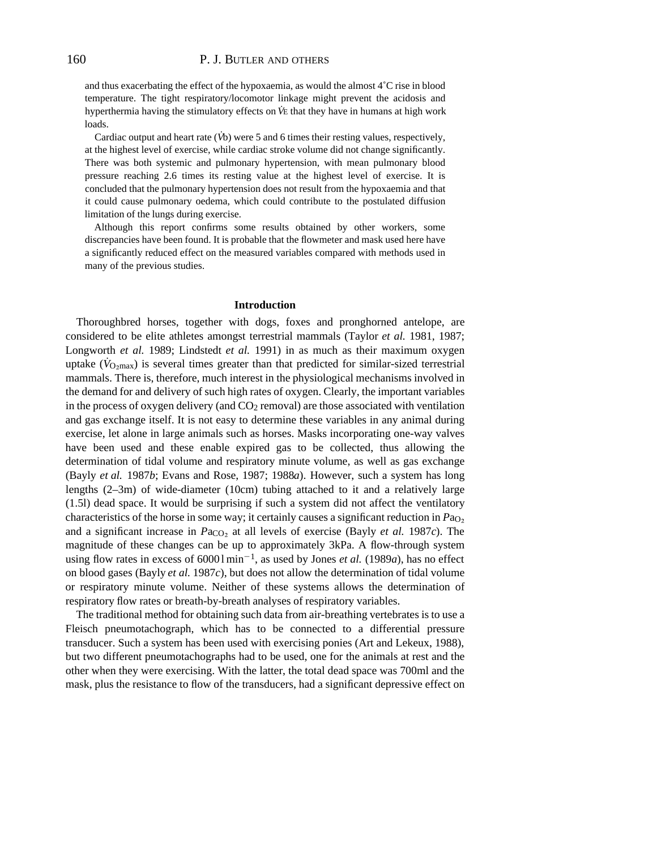and thus exacerbating the effect of the hypoxaemia, as would the almost  $4^{\circ}$ C rise in blood temperature. The tight respiratory/locomotor linkage might prevent the acidosis and hyperthermia having the stimulatory effects on *V˙*<sup>E</sup> that they have in humans at high work loads.

Cardiac output and heart rate (*V˙*b) were 5 and 6 times their resting values, respectively, at the highest level of exercise, while cardiac stroke volume did not change significantly. There was both systemic and pulmonary hypertension, with mean pulmonary blood pressure reaching 2.6 times its resting value at the highest level of exercise. It is concluded that the pulmonary hypertension does not result from the hypoxaemia and that it could cause pulmonary oedema, which could contribute to the postulated diffusion limitation of the lungs during exercise.

Although this report confirms some results obtained by other workers, some discrepancies have been found. It is probable that the flowmeter and mask used here have a significantly reduced effect on the measured variables compared with methods used in many of the previous studies.

#### **Introduction**

Thoroughbred horses, together with dogs, foxes and pronghorned antelope, are considered to be elite athletes amongst terrestrial mammals (Taylor *et al.* 1981, 1987; Longworth *et al.* 1989; Lindstedt *et al.* 1991) in as much as their maximum oxygen uptake ( $\dot{V}_{O_2\text{max}}$ ) is several times greater than that predicted for similar-sized terrestrial mammals. There is, therefore, much interest in the physiological mechanisms involved in the demand for and delivery of such high rates of oxygen. Clearly, the important variables in the process of oxygen delivery (and  $CO<sub>2</sub>$  removal) are those associated with ventilation and gas exchange itself. It is not easy to determine these variables in any animal during exercise, let alone in large animals such as horses. Masks incorporating one-way valves have been used and these enable expired gas to be collected, thus allowing the determination of tidal volume and respiratory minute volume, as well as gas exchange (Bayly *et al.* 1987*b*; Evans and Rose, 1987; 1988*a*). However, such a system has long lengths (2–3m) of wide-diameter (10cm) tubing attached to it and a relatively large (1.5l) dead space. It would be surprising if such a system did not affect the ventilatory characteristics of the horse in some way; it certainly causes a significant reduction in *P*a<sub>O2</sub> and a significant increase in *Pa*<sub>CO</sub><sub>2</sub> at all levels of exercise (Bayly *et al.* 1987*c*). The magnitude of these changes can be up to approximately 3kPa. A flow-through system using flow rates in excess of 60001min<sup>-1</sup>, as used by Jones *et al.* (1989*a*), has no effect on blood gases (Bayly *et al.* 1987*c*), but does not allow the determination of tidal volume or respiratory minute volume. Neither of these systems allows the determination of respiratory flow rates or breath-by-breath analyses of respiratory variables.

The traditional method for obtaining such data from air-breathing vertebrates is to use a Fleisch pneumotachograph, which has to be connected to a differential pressure transducer. Such a system has been used with exercising ponies (Art and Lekeux, 1988), but two different pneumotachographs had to be used, one for the animals at rest and the other when they were exercising. With the latter, the total dead space was 700ml and the mask, plus the resistance to flow of the transducers, had a significant depressive effect on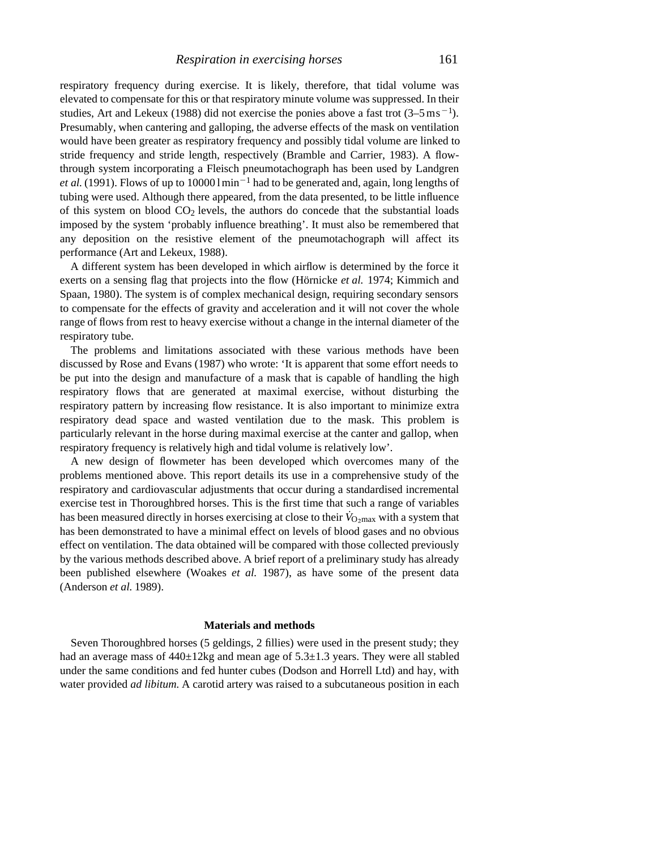respiratory frequency during exercise. It is likely, therefore, that tidal volume was elevated to compensate for this or that respiratory minute volume was suppressed. In their studies, Art and Lekeux (1988) did not exercise the ponies above a fast trot  $(3-5 \text{ ms}^{-1})$ . Presumably, when cantering and galloping, the adverse effects of the mask on ventilation would have been greater as respiratory frequency and possibly tidal volume are linked to stride frequency and stride length, respectively (Bramble and Carrier, 1983). A flowthrough system incorporating a Fleisch pneumotachograph has been used by Landgren *et al.* (1991). Flows of up to  $100001 \text{min}^{-1}$  had to be generated and, again, long lengths of tubing were used. Although there appeared, from the data presented, to be little influence of this system on blood  $CO<sub>2</sub>$  levels, the authors do concede that the substantial loads imposed by the system 'probably influence breathing'. It must also be remembered that any deposition on the resistive element of the pneumotachograph will affect its

A different system has been developed in which airflow is determined by the force it exerts on a sensing flag that projects into the flow (Hörnicke *et al.* 1974; Kimmich and Spaan, 1980). The system is of complex mechanical design, requiring secondary sensors to compensate for the effects of gravity and acceleration and it will not cover the whole range of flows from rest to heavy exercise without a change in the internal diameter of the respiratory tube.

performance (Art and Lekeux, 1988).

The problems and limitations associated with these various methods have been discussed by Rose and Evans (1987) who wrote: 'It is apparent that some effort needs to be put into the design and manufacture of a mask that is capable of handling the high respiratory flows that are generated at maximal exercise, without disturbing the respiratory pattern by increasing flow resistance. It is also important to minimize extra respiratory dead space and wasted ventilation due to the mask. This problem is particularly relevant in the horse during maximal exercise at the canter and gallop, when respiratory frequency is relatively high and tidal volume is relatively low'.

A new design of flowmeter has been developed which overcomes many of the problems mentioned above. This report details its use in a comprehensive study of the respiratory and cardiovascular adjustments that occur during a standardised incremental exercise test in Thoroughbred horses. This is the first time that such a range of variables has been measured directly in horses exercising at close to their *V*<sup>O</sup>∠max with a system that has been demonstrated to have a minimal effect on levels of blood gases and no obvious effect on ventilation. The data obtained will be compared with those collected previously by the various methods described above. A brief report of a preliminary study has already been published elsewhere (Woakes *et al.* 1987), as have some of the present data (Anderson *et al.* 1989).

### **Materials and methods**

Seven Thoroughbred horses (5 geldings, 2 fillies) were used in the present study; they had an average mass of  $440\pm12$ kg and mean age of  $5.3\pm1.3$  years. They were all stabled under the same conditions and fed hunter cubes (Dodson and Horrell Ltd) and hay, with water provided *ad libitum*. A carotid artery was raised to a subcutaneous position in each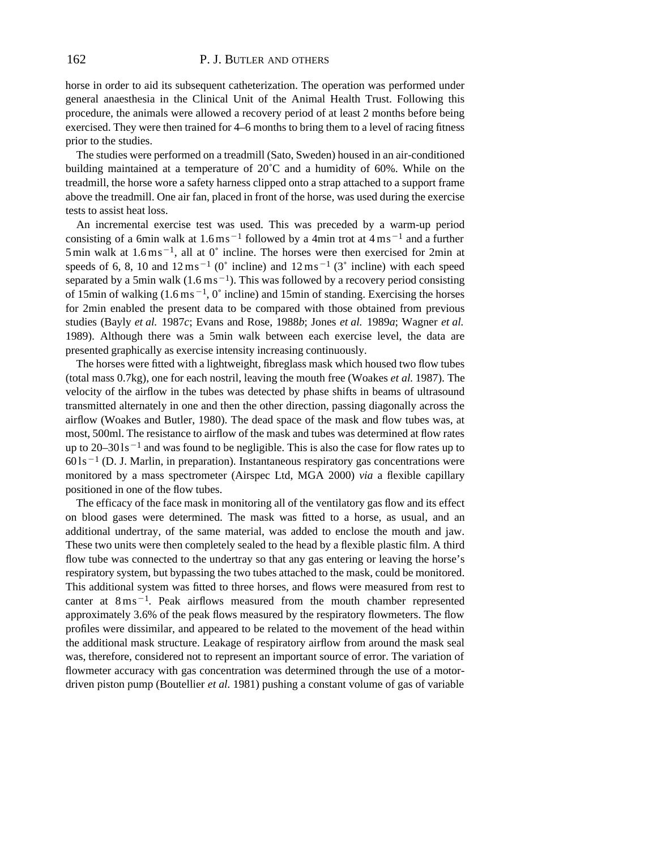horse in order to aid its subsequent catheterization. The operation was performed under general anaesthesia in the Clinical Unit of the Animal Health Trust. Following this procedure, the animals were allowed a recovery period of at least 2 months before being exercised. They were then trained for 4–6 months to bring them to a level of racing fitness prior to the studies.

The studies were performed on a treadmill (Sato, Sweden) housed in an air-conditioned building maintained at a temperature of 20˚C and a humidity of 60%. While on the treadmill, the horse wore a safety harness clipped onto a strap attached to a support frame above the treadmill. One air fan, placed in front of the horse, was used during the exercise tests to assist heat loss.

An incremental exercise test was used. This was preceded by a warm-up period consisting of a 6min walk at  $1.6 \text{ ms}^{-1}$  followed by a 4min trot at  $4 \text{ ms}^{-1}$  and a further 5 min walk at  $1.6 \text{ ms}^{-1}$ , all at 0 $^{\circ}$  incline. The horses were then exercised for 2min at speeds of 6, 8, 10 and  $12 \text{ ms}^{-1}$  (0° incline) and  $12 \text{ ms}^{-1}$  (3° incline) with each speed separated by a 5min walk  $(1.6 \text{ m s}^{-1})$ . This was followed by a recovery period consisting of 15min of walking  $(1.6 \text{ ms}^{-1}, 0)$ ° incline) and 15min of standing. Exercising the horses for 2min enabled the present data to be compared with those obtained from previous studies (Bayly *et al.* 1987*c*; Evans and Rose, 1988*b*; Jones *et al.* 1989*a*; Wagner *et al.* 1989). Although there was a 5min walk between each exercise level, the data are presented graphically as exercise intensity increasing continuously.

The horses were fitted with a lightweight, fibreglass mask which housed two flow tubes (total mass 0.7kg), one for each nostril, leaving the mouth free (Woakes *et al.* 1987). The velocity of the airflow in the tubes was detected by phase shifts in beams of ultrasound transmitted alternately in one and then the other direction, passing diagonally across the airflow (Woakes and Butler, 1980). The dead space of the mask and flow tubes was, at most, 500ml. The resistance to airflow of the mask and tubes was determined at flow rates up to  $20-301s^{-1}$  and was found to be negligible. This is also the case for flow rates up to  $601s<sup>-1</sup>$  (D. J. Marlin, in preparation). Instantaneous respiratory gas concentrations were monitored by a mass spectrometer (Airspec Ltd, MGA 2000) *via* a flexible capillary positioned in one of the flow tubes.

The efficacy of the face mask in monitoring all of the ventilatory gas flow and its effect on blood gases were determined. The mask was fitted to a horse, as usual, and an additional undertray, of the same material, was added to enclose the mouth and jaw. These two units were then completely sealed to the head by a flexible plastic film. A third flow tube was connected to the undertray so that any gas entering or leaving the horse's respiratory system, but bypassing the two tubes attached to the mask, could be monitored. This additional system was fitted to three horses, and flows were measured from rest to canter at  $8 \text{ ms}^{-1}$ . Peak airflows measured from the mouth chamber represented approximately 3.6% of the peak flows measured by the respiratory flowmeters. The flow profiles were dissimilar, and appeared to be related to the movement of the head within the additional mask structure. Leakage of respiratory airflow from around the mask seal was, therefore, considered not to represent an important source of error. The variation of flowmeter accuracy with gas concentration was determined through the use of a motordriven piston pump (Boutellier *et al.* 1981) pushing a constant volume of gas of variable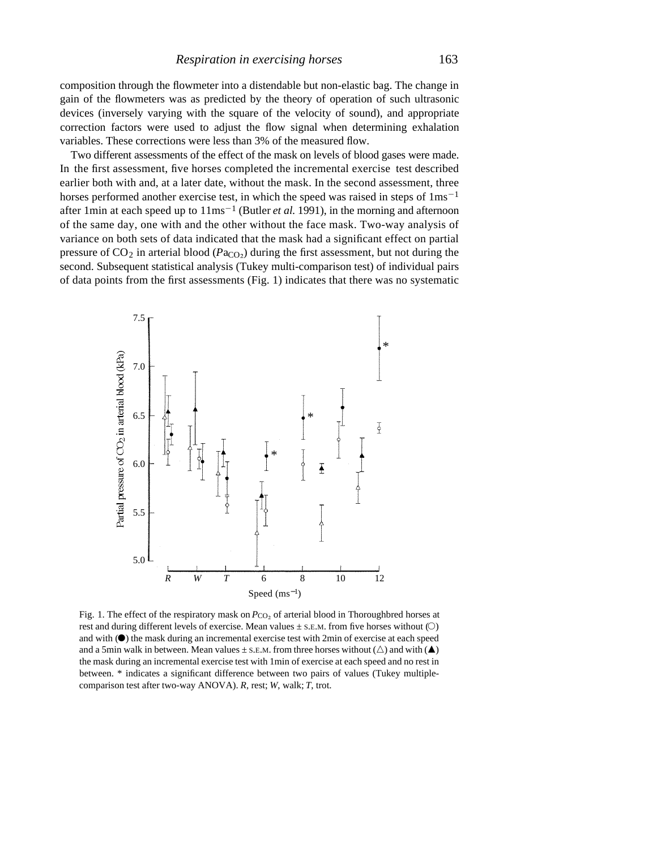composition through the flowmeter into a distendable but non-elastic bag. The change in gain of the flowmeters was as predicted by the theory of operation of such ultrasonic devices (inversely varying with the square of the velocity of sound), and appropriate correction factors were used to adjust the flow signal when determining exhalation variables. These corrections were less than 3% of the measured flow.

Two different assessments of the effect of the mask on levels of blood gases were made. In the first assessment, five horses completed the incremental exercise test described earlier both with and, at a later date, without the mask. In the second assessment, three horses performed another exercise test, in which the speed was raised in steps of  $1 \text{ms}^{-1}$ after 1 min at each speed up to  $11 \text{ms}^{-1}$  (Butler *et al.* 1991), in the morning and afternoon of the same day, one with and the other without the face mask. Two-way analysis of variance on both sets of data indicated that the mask had a significant effect on partial pressure of  $CO_2$  in arterial blood ( $Pa<sub>CO<sub>2</sub></sub>$ ) during the first assessment, but not during the second. Subsequent statistical analysis (Tukey multi-comparison test) of individual pairs of data points from the first assessments (Fig. 1) indicates that there was no systematic



Fig. 1. The effect of the respiratory mask on  $P_{\text{CO}_2}$  of arterial blood in Thoroughbred horses at rest and during different levels of exercise. Mean values  $\pm$  s. E.M. from five horses without ( $\circ$ ) and with  $(\bullet)$  the mask during an incremental exercise test with 2min of exercise at each speed and a 5min walk in between. Mean values  $\pm$  s.e.m. from three horses without ( $\triangle$ ) and with ( $\blacktriangle$ ) the mask during an incremental exercise test with 1min of exercise at each speed and no rest in between. \* indicates a significant difference between two pairs of values (Tukey multiplecomparison test after two-way ANOVA). *R*, rest; *W*, walk; *T*, trot.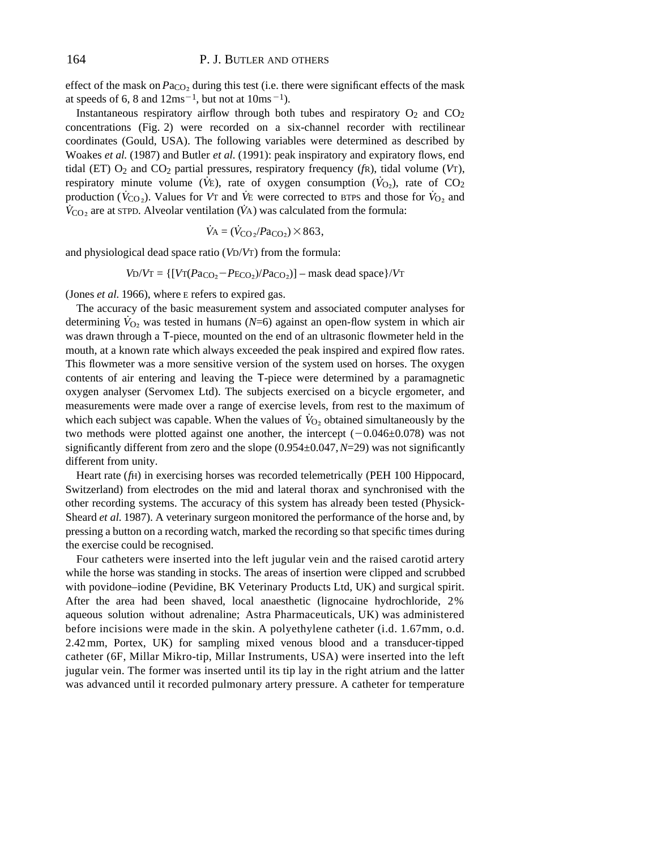effect of the mask on  $Pa_{CO_2}$  during this test (i.e. there were significant effects of the mask at speeds of 6, 8 and  $12ms^{-1}$ , but not at  $10ms^{-1}$ ).

Instantaneous respiratory airflow through both tubes and respiratory  $O_2$  and  $CO_2$ concentrations (Fig. 2) were recorded on a six-channel recorder with rectilinear coordinates (Gould, USA). The following variables were determined as described by Woakes *et al.* (1987) and Butler *et al.* (1991): peak inspiratory and expiratory flows, end tidal (ET) O2 and CO2 partial pressures, respiratory frequency (*f*R), tidal volume (*V*T), respiratory minute volume ( $\dot{V}$ E), rate of oxygen consumption ( $\dot{V}_{O_2}$ ), rate of CO<sub>2</sub> production ( $\dot{V}_{\text{CO}}$ ). Values for *V*<sub>T</sub> and *V*<sup>E</sup> were corrected to BTPS and those for  $\dot{V}_{\text{O}}$ , and  $V_{\text{CO}_2}$  are at STPD. Alveolar ventilation ( $\dot{V}$ A) was calculated from the formula:

$$
\dot{V}_{\rm A} = (\dot{V}_{\rm CO_2}/Pa_{\rm CO_2}) \times 863,
$$

and physiological dead space ratio (*V*D/*V*T) from the formula:

$$
V_D/V_T = \{ [V_T(Pa_{CO_2} - P_{ECO_2})/Pa_{CO_2}] - \text{mask dead space} \} / V_T
$$

(Jones *et al.* 1966), where E refers to expired gas.

The accuracy of the basic measurement system and associated computer analyses for determining  $\dot{V}_{O_2}$  was tested in humans (*N*=6) against an open-flow system in which air was drawn through a T-piece, mounted on the end of an ultrasonic flowmeter held in the mouth, at a known rate which always exceeded the peak inspired and expired flow rates. This flowmeter was a more sensitive version of the system used on horses. The oxygen contents of air entering and leaving the T-piece were determined by a paramagnetic oxygen analyser (Servomex Ltd). The subjects exercised on a bicycle ergometer, and measurements were made over a range of exercise levels, from rest to the maximum of which each subject was capable. When the values of  $\dot{V}_{O_2}$  obtained simultaneously by the two methods were plotted against one another, the intercept  $(-0.046\pm0.078)$  was not significantly different from zero and the slope (0.954±0.047, *N*=29) was not significantly different from unity.

Heart rate (*f*H) in exercising horses was recorded telemetrically (PEH 100 Hippocard, Switzerland) from electrodes on the mid and lateral thorax and synchronised with the other recording systems. The accuracy of this system has already been tested (Physick-Sheard *et al.* 1987). A veterinary surgeon monitored the performance of the horse and, by pressing a button on a recording watch, marked the recording so that specific times during the exercise could be recognised.

Four catheters were inserted into the left jugular vein and the raised carotid artery while the horse was standing in stocks. The areas of insertion were clipped and scrubbed with povidone–iodine (Pevidine, BK Veterinary Products Ltd, UK) and surgical spirit. After the area had been shaved, local anaesthetic (lignocaine hydrochloride, 2% aqueous solution without adrenaline; Astra Pharmaceuticals, UK) was administered before incisions were made in the skin. A polyethylene catheter (i.d. 1.67mm, o.d. 2.42 mm, Portex, UK) for sampling mixed venous blood and a transducer-tipped catheter (6F, Millar Mikro-tip, Millar Instruments, USA) were inserted into the left jugular vein. The former was inserted until its tip lay in the right atrium and the latter was advanced until it recorded pulmonary artery pressure. A catheter for temperature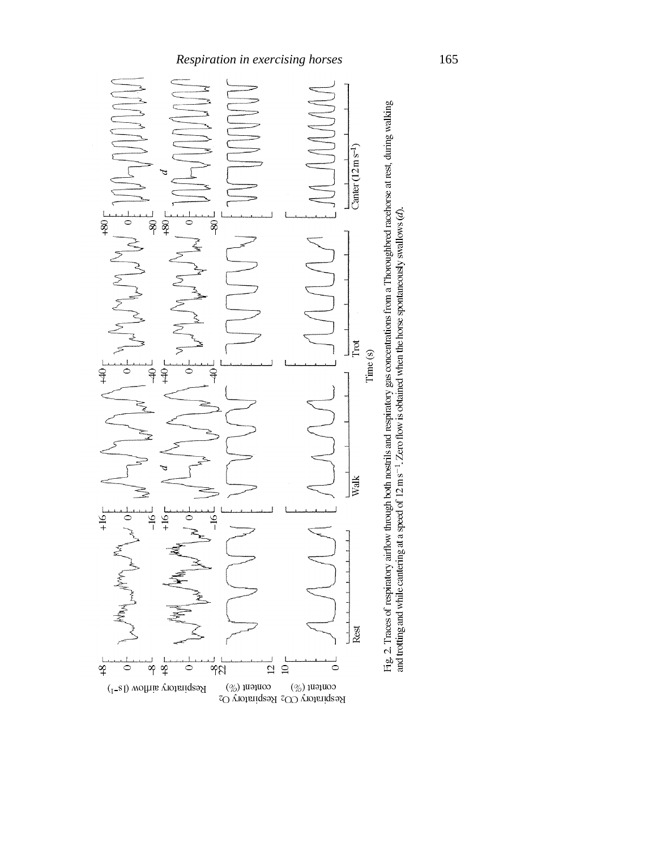

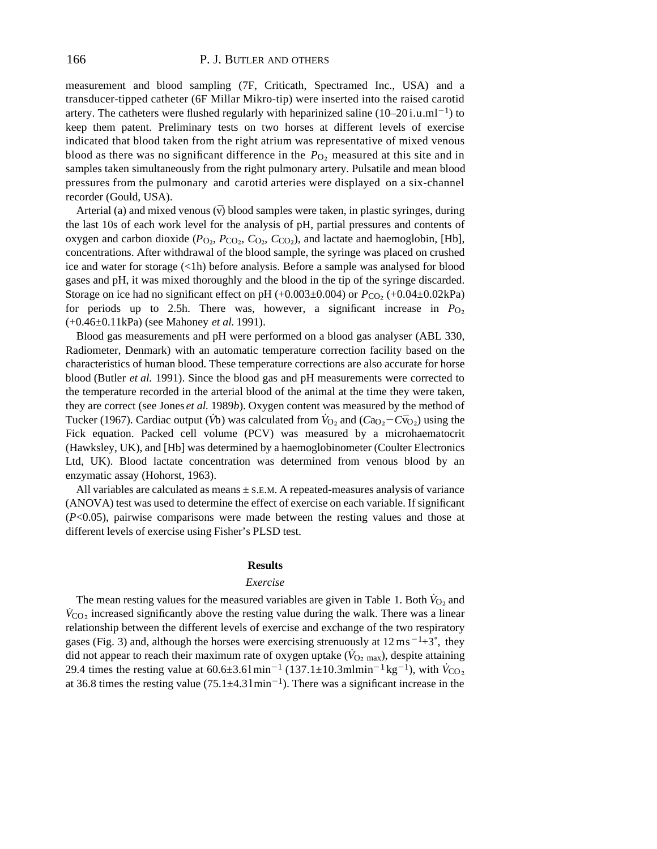measurement and blood sampling (7F, Criticath, Spectramed Inc., USA) and a transducer-tipped catheter (6F Millar Mikro-tip) were inserted into the raised carotid artery. The catheters were flushed regularly with heparinized saline  $(10-20i.u.m<sup>-1</sup>)$  to keep them patent. Preliminary tests on two horses at different levels of exercise indicated that blood taken from the right atrium was representative of mixed venous blood as there was no significant difference in the *P*<sub>O</sub>, measured at this site and in samples taken simultaneously from the right pulmonary artery. Pulsatile and mean blood pressures from the pulmonary and carotid arteries were displayed on a six-channel recorder (Gould, USA).

Arterial (a) and mixed venous  $(\bar{v})$  blood samples were taken, in plastic syringes, during the last 10s of each work level for the analysis of pH, partial pressures and contents of oxygen and carbon dioxide  $(P<sub>O<sub>2</sub></sub>, P<sub>CO<sub>2</sub></sub>, C<sub>O<sub>2</sub></sub>, C<sub>CO<sub>2</sub></sub>)$ , and lactate and haemoglobin, [Hb], concentrations. After withdrawal of the blood sample, the syringe was placed on crushed ice and water for storage (<1h) before analysis. Before a sample was analysed for blood gases and pH, it was mixed thoroughly and the blood in the tip of the syringe discarded. Storage on ice had no significant effect on pH (+0.003±0.004) or  $P_{CO_2}$  (+0.04±0.02kPa) for periods up to 2.5h. There was, however, a significant increase in  $P_{\text{O}_2}$ (+0.46±0.11kPa) (see Mahoney *et al.* 1991).

Blood gas measurements and pH were performed on a blood gas analyser (ABL 330, Radiometer, Denmark) with an automatic temperature correction facility based on the characteristics of human blood. These temperature corrections are also accurate for horse blood (Butler *et al.* 1991). Since the blood gas and pH measurements were corrected to the temperature recorded in the arterial blood of the animal at the time they were taken, they are correct (see Jones *et al.* 1989*b*). Oxygen content was measured by the method of Tucker (1967). Cardiac output ( $\dot{V}b$ ) was calculated from  $\dot{V}_{O_2}$  and ( $C_{O_2}-C_{O_2}$ ) using the Fick equation. Packed cell volume (PCV) was measured by a microhaematocrit (Hawksley, UK), and [Hb] was determined by a haemoglobinometer (Coulter Electronics Ltd, UK). Blood lactate concentration was determined from venous blood by an enzymatic assay (Hohorst, 1963).

All variables are calculated as means  $\pm$  s.E.M. A repeated-measures analysis of variance (ANOVA) test was used to determine the effect of exercise on each variable. If significant (*P*<0.05), pairwise comparisons were made between the resting values and those at different levels of exercise using Fisher's PLSD test.

## **Results**

## *Exercise*

The mean resting values for the measured variables are given in Table 1. Both  $\dot{V}_{O_2}$  and  $V_{\text{CO}_2}$  increased significantly above the resting value during the walk. There was a linear relationship between the different levels of exercise and exchange of the two respiratory gases (Fig. 3) and, although the horses were exercising strenuously at  $12 \text{ ms}^{-1}+3^{\circ}$ , they did not appear to reach their maximum rate of oxygen uptake ( $\dot{V}_{O_2 \text{ max}}$ ), despite attaining 29.4 times the resting value at  $60.6 \pm 3.61 \text{min}^{-1} (137.1 \pm 10.3 \text{mlmin}^{-1} \text{kg}^{-1})$ , with  $\dot{V}_{\text{CO}_2}$ at 36.8 times the resting value  $(75.1 \pm 4.31 \text{min}^{-1})$ . There was a significant increase in the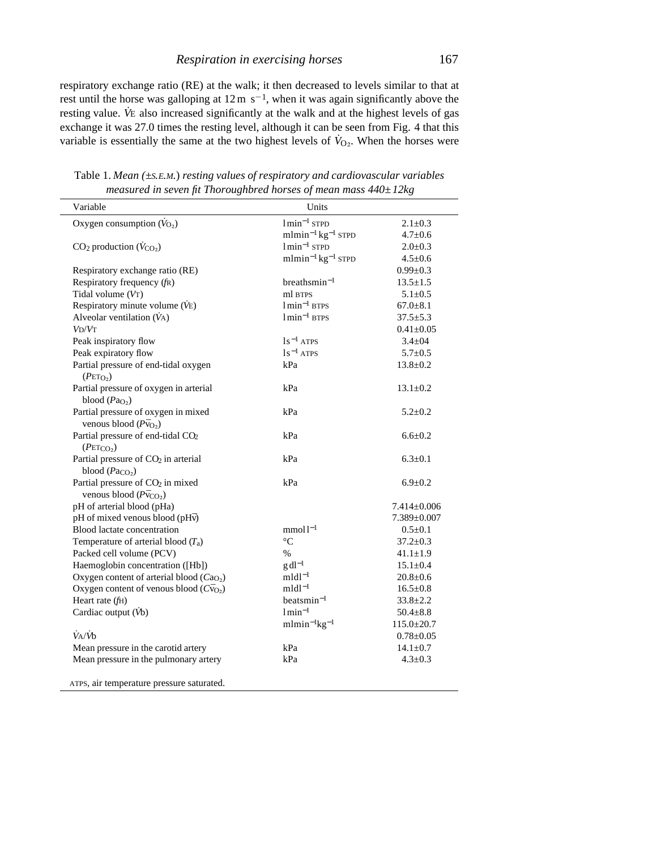respiratory exchange ratio (RE) at the walk; it then decreased to levels similar to that at rest until the horse was galloping at  $12 \text{ m s}^{-1}$ , when it was again significantly above the resting value. *V*<sup>E</sup> also increased significantly at the walk and at the highest levels of gas exchange it was 27.0 times the resting level, although it can be seen from Fig. 4 that this variable is essentially the same at the two highest levels of  $\dot{V}_{O_2}$ . When the horses were

| Variable                                                                         | Units                             |                   |
|----------------------------------------------------------------------------------|-----------------------------------|-------------------|
| Oxygen consumption $(\dot{V}_{O_2})$                                             | $1min^{-1}$ STPD                  | $2.1 \pm 0.3$     |
|                                                                                  | $mlmin^{-1}kg^{-1}$ STPD          | $4.7 \pm 0.6$     |
| $CO2$ production $(\dot{V}_{CO_2})$                                              | $1min^{-1}$ STPD                  | $2.0 \pm 0.3$     |
|                                                                                  | $mlmin^{-1}kg^{-1}$ STPD          | $4.5 \pm 0.6$     |
| Respiratory exchange ratio (RE)                                                  |                                   | $0.99 \pm 0.3$    |
| Respiratory frequency (fR)                                                       | $breathsmin^{-1}$                 | $13.5 \pm 1.5$    |
| Tidal volume (VT)                                                                | ml BTPS                           | $5.1 \pm 0.5$     |
| Respiratory minute volume (VE)                                                   | $1$ min <sup>-1</sup> BTPS        | $67.0 \pm 8.1$    |
| Alveolar ventilation $(\dot{V}_A)$                                               | $1$ min <sup>-1</sup> BTPS        | $37.5 \pm 5.3$    |
| $V_D/V_T$                                                                        |                                   | $0.41 \pm 0.05$   |
| Peak inspiratory flow                                                            | $1s^{-1}$ ATPS                    | $3.4 \pm 04$      |
| Peak expiratory flow                                                             | $1s^{-1}$ ATPS                    | $5.7 \pm 0.5$     |
| Partial pressure of end-tidal oxygen<br>(PETO <sub>2</sub> )                     | kPa                               | $13.8 \pm 0.2$    |
| Partial pressure of oxygen in arterial<br>blood $(PaO2)$                         | kPa                               | $13.1 \pm 0.2$    |
| Partial pressure of oxygen in mixed<br>venous blood $(P\bar{v}_{O_2})$           | kPa                               | $5.2 \pm 0.2$     |
| Partial pressure of end-tidal CO <sub>2</sub><br>(PETCO <sub>2</sub> )           | kPa                               | $6.6 \pm 0.2$     |
| Partial pressure of CO <sub>2</sub> in arterial<br>blood $(Pa_{CO_2})$           | kPa                               | $6.3 \pm 0.1$     |
| Partial pressure of CO <sub>2</sub> in mixed<br>venous blood $(P\bar{v}_{CO_2})$ | kPa                               | $6.9 \pm 0.2$     |
| pH of arterial blood (pHa)                                                       |                                   | $7.414 \pm 0.006$ |
| pH of mixed venous blood (pHv)                                                   |                                   | 7.389±0.007       |
| Blood lactate concentration                                                      | $mmol1-1$                         | $0.5 \pm 0.1$     |
| Temperature of arterial blood $(T_a)$                                            | $^{\circ} \text{C}$               | $37.2 \pm 0.3$    |
| Packed cell volume (PCV)                                                         | $\%$                              | $41.1 \pm 1.9$    |
| Haemoglobin concentration ([Hb])                                                 | $g \, \mathrm{d} \mathrm{l}^{-1}$ | $15.1 \pm 0.4$    |
| Oxygen content of arterial blood $(CaO2)$                                        | $mldl^{-1}$                       | $20.8 \pm 0.6$    |
| Oxygen content of venous blood $(C\bar{v}_{O_2})$                                | $mldl^{-1}$                       | $16.5 \pm 0.8$    |
| Heart rate $(fH)$                                                                | $beatsmin-1$                      | $33.8 \pm 2.2$    |
| Cardiac output (Vb)                                                              | $1$ min <sup>-1</sup>             | $50.4 \pm 8.8$    |
|                                                                                  | $mlmin^{-1}kg^{-1}$               | $115.0 \pm 20.7$  |
| $\dot{V}$ A/ $\dot{V}$ b                                                         |                                   | $0.78 \pm 0.05$   |
| Mean pressure in the carotid artery                                              | kPa                               | $14.1 \pm 0.7$    |
| Mean pressure in the pulmonary artery                                            | kPa                               | $4.3 \pm 0.3$     |
| ATPS, air temperature pressure saturated.                                        |                                   |                   |

Table 1. *Mean (±S.E.M.*) *resting values of respiratory and cardiovascular variables measured in seven fit Thoroughbred horses of mean mass 440±12kg*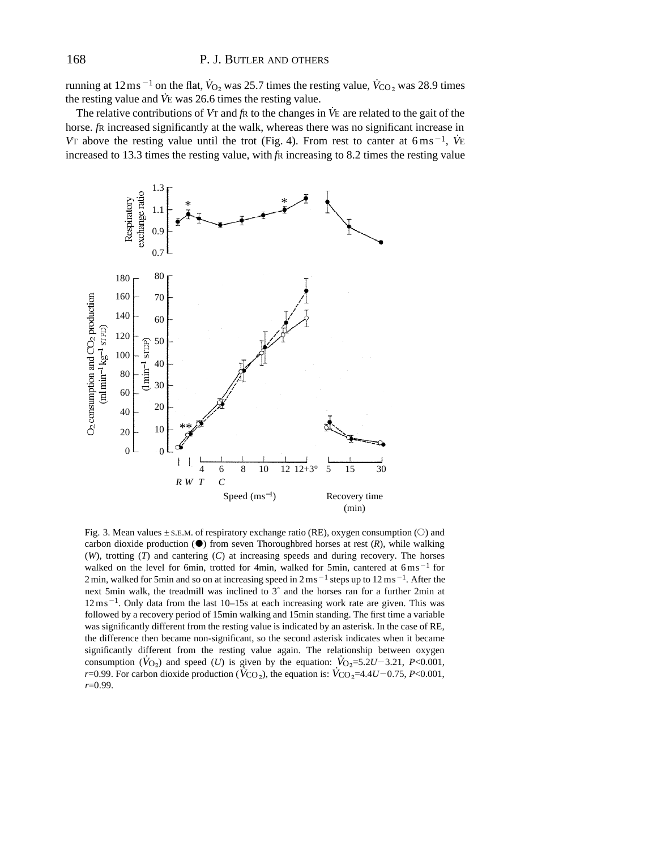running at  $12 \text{ms}^{-1}$  on the flat,  $\dot{V}_{\text{O}_2}$  was 25.7 times the resting value,  $\dot{V}_{\text{CO}_2}$  was 28.9 times the resting value and *V˙*<sup>E</sup> was 26.6 times the resting value.

The relative contributions of *V*<sup>T</sup> and *f*<sup>R</sup> to the changes in *V˙*<sup>E</sup> are related to the gait of the horse. *f*R increased significantly at the walk, whereas there was no significant increase in V<sup>T</sup> above the resting value until the trot (Fig. 4). From rest to canter at  $6 \text{ ms}^{-1}$ ,  $\dot{V}$ E increased to 13.3 times the resting value, with *f*R increasing to 8.2 times the resting value



Fig. 3. Mean values  $\pm$  S.E.M. of respiratory exchange ratio (RE), oxygen consumption ( $\circ$ ) and carbon dioxide production  $(\bullet)$  from seven Thoroughbred horses at rest  $(R)$ , while walking (*W*), trotting (*T*) and cantering (*C*) at increasing speeds and during recovery. The horses walked on the level for 6min, trotted for 4min, walked for 5min, cantered at  $6 \text{ ms}^{-1}$  for 2 min, walked for 5min and so on at increasing speed in  $2 \text{ ms}^{-1}$  steps up to  $12 \text{ ms}^{-1}$ . After the next 5min walk, the treadmill was inclined to 3˚ and the horses ran for a further 2min at  $12 \text{ ms}^{-1}$ . Only data from the last 10–15s at each increasing work rate are given. This was followed by a recovery period of 15min walking and 15min standing. The first time a variable was significantly different from the resting value is indicated by an asterisk. In the case of RE, the difference then became non-significant, so the second asterisk indicates when it became significantly different from the resting value again. The relationship between oxygen consumption ( $\dot{V}_{O_2}$ ) and speed (*U*) is given by the equation:  $\dot{V}_{O_2} = 5.2U - 3.21$ , *P*<0.001, *r*=0.99. For carbon dioxide production ( $\dot{V}_{CO_2}$ ), the equation is:  $\dot{V}_{CO_2}$ =4.4*U*-0.75, *P*<0.001, *r*=0.99.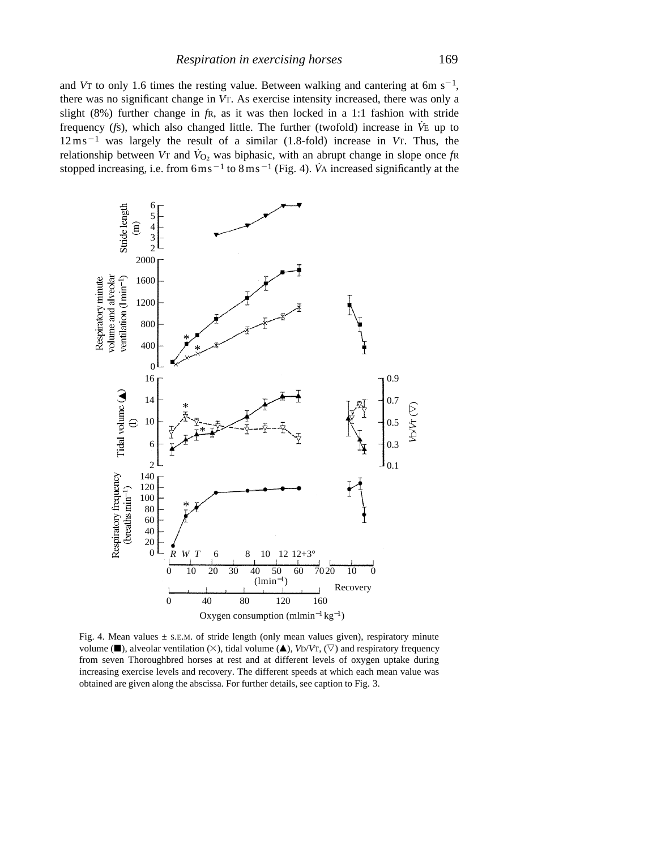and V<sub>T</sub> to only 1.6 times the resting value. Between walking and cantering at 6m  $s^{-1}$ , there was no significant change in *V*T. As exercise intensity increased, there was only a slight (8%) further change in *f*R, as it was then locked in a 1:1 fashion with stride frequency (*f*S), which also changed little. The further (twofold) increase in *V˙*<sup>E</sup> up to  $12 \text{ ms}^{-1}$  was largely the result of a similar (1.8-fold) increase in *V*T. Thus, the relationship between *V*T and  $\dot{V}_{O_2}$  was biphasic, with an abrupt change in slope once  $f \mathbf{\hat{R}}$ stopped increasing, i.e. from  $6 \text{m s}^{-1}$  to  $8 \text{m s}^{-1}$  (Fig. 4). *V*<sup>A</sup> increased significantly at the



Fig. 4. Mean values  $\pm$  s.E.M. of stride length (only mean values given), respiratory minute volume ( $\blacksquare$ ), alveolar ventilation ( $\times$ ), tidal volume ( $\blacktriangle$ ), *V*D/*V*T, ( $\triangledown$ ) and respiratory frequency from seven Thoroughbred horses at rest and at different levels of oxygen uptake during increasing exercise levels and recovery. The different speeds at which each mean value was obtained are given along the abscissa. For further details, see caption to Fig. 3.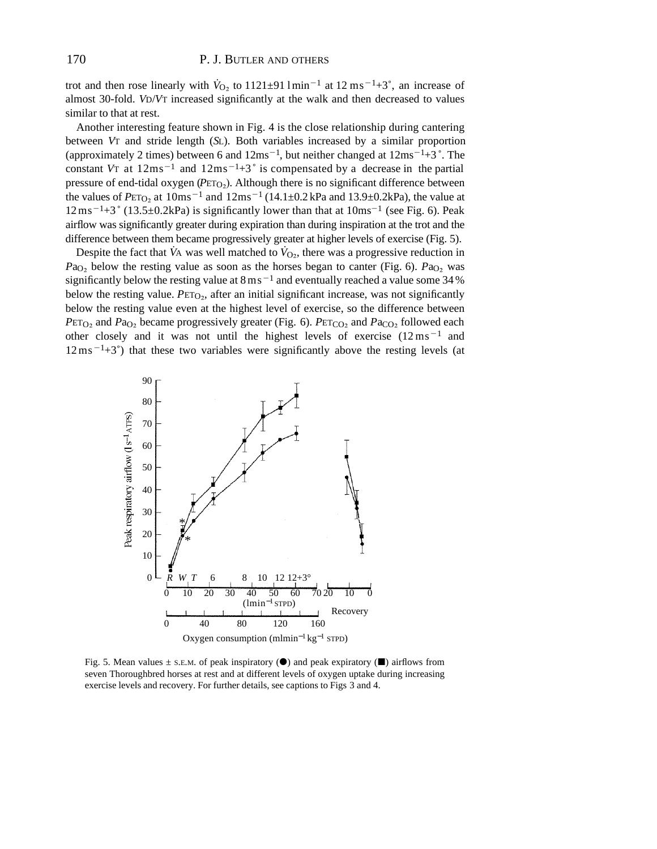trot and then rose linearly with  $\dot{V}_{\text{O}_2}$  to 1121±91 lmin<sup>-1</sup> at 12 ms<sup>-1</sup>+3°, an increase of almost 30-fold. *V*D/*V*T increased significantly at the walk and then decreased to values similar to that at rest.

Another interesting feature shown in Fig. 4 is the close relationship during cantering between *V*T and stride length (*S*L). Both variables increased by a similar proportion (approximately 2 times) between 6 and  $12 \text{ms}^{-1}$ , but neither changed at  $12 \text{ms}^{-1}+3$ °. The constant *V*T at  $12 \text{ms}^{-1}$  and  $12 \text{ms}^{-1} + 3$ ° is compensated by a decrease in the partial pressure of end-tidal oxygen ( $PETO<sub>2</sub>$ ). Although there is no significant difference between the values of  $PET_{O_2}$  at  $10\text{ms}^{-1}$  and  $12\text{ms}^{-1}$  (14.1±0.2 kPa and 13.9±0.2kPa), the value at  $12 \text{ ms}^{-1}$ +3° (13.5±0.2kPa) is significantly lower than that at  $10 \text{ ms}^{-1}$  (see Fig. 6). Peak airflow was significantly greater during expiration than during inspiration at the trot and the difference between them became progressively greater at higher levels of exercise (Fig. 5).

Despite the fact that  $\dot{V}$ <sup>A</sup> was well matched to  $\dot{V}_{O_2}$ , there was a progressive reduction in  $Pa<sub>O<sub>2</sub></sub>$  below the resting value as soon as the horses began to canter (Fig. 6).  $Pa<sub>O<sub>2</sub></sub>$  was significantly below the resting value at  $8 \text{ m s}^{-1}$  and eventually reached a value some 34 % below the resting value.  $PETO<sub>2</sub>$ , after an initial significant increase, was not significantly below the resting value even at the highest level of exercise, so the difference between *P*ET<sub>O</sub><sub>2</sub> and *P*a<sub>O<sub>2</sub></sub> became progressively greater (Fig. 6). *P*ET<sub>CO<sub>2</sub></sub> and *P*a<sub>CO<sub>2</sub></sub> followed each other closely and it was not until the highest levels of exercise  $(12 \text{ ms}^{-1}$  and  $12 \text{ ms}^{-1}$ +3°) that these two variables were significantly above the resting levels (at



Fig. 5. Mean values  $\pm$  S.E.M. of peak inspiratory ( $\bullet$ ) and peak expiratory ( $\bullet$ ) airflows from seven Thoroughbred horses at rest and at different levels of oxygen uptake during increasing exercise levels and recovery. For further details, see captions to Figs 3 and 4.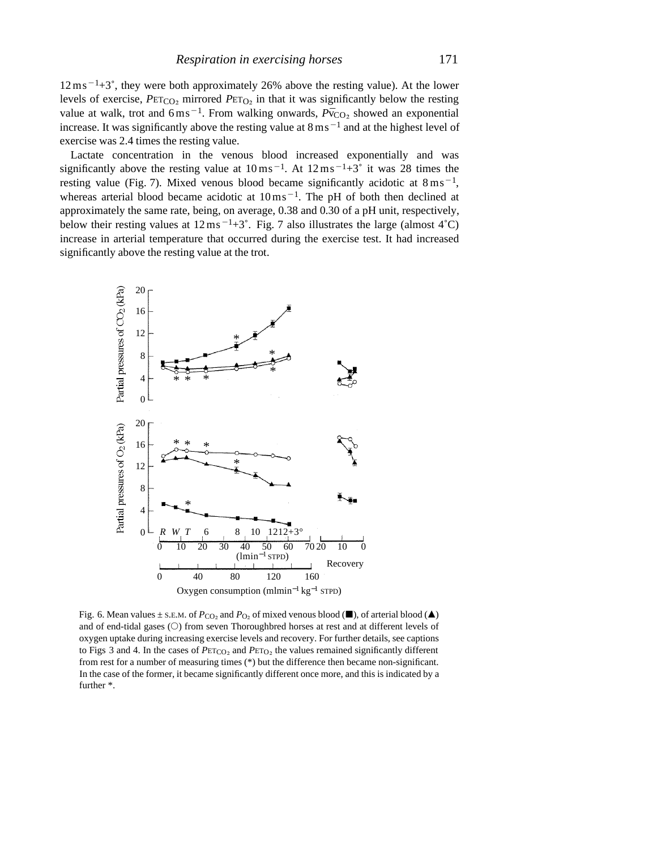$12 \text{ ms}^{-1}$ +3°, they were both approximately 26% above the resting value). At the lower levels of exercise,  $P \text{ETCO}_2$  mirrored  $P \text{ETO}_2$  in that it was significantly below the resting value at walk, trot and  $6 \text{ ms}^{-1}$ . From walking onwards,  $P\bar{v}_{CO_2}$  showed an exponential increase. It was significantly above the resting value at  $8 \text{ ms}^{-1}$  and at the highest level of exercise was 2.4 times the resting value.

Lactate concentration in the venous blood increased exponentially and was significantly above the resting value at  $10 \text{ ms}^{-1}$ . At  $12 \text{ ms}^{-1}$ +3° it was 28 times the resting value (Fig. 7). Mixed venous blood became significantly acidotic at  $8 \text{ ms}^{-1}$ , whereas arterial blood became acidotic at  $10 \text{ ms}^{-1}$ . The pH of both then declined at approximately the same rate, being, on average, 0.38 and 0.30 of a pH unit, respectively, below their resting values at  $12 \text{ ms}^{-1}+3^{\circ}$ . Fig. 7 also illustrates the large (almost 4<sup>°</sup>C) increase in arterial temperature that occurred during the exercise test. It had increased significantly above the resting value at the trot.



Fig. 6. Mean values ± S.E.M. of  $P_{\text{CO}_2}$  and  $P_{\text{O}_2}$  of mixed venous blood ( $\blacksquare$ ), of arterial blood ( $\blacktriangle$ ) and of end-tidal gases  $(O)$  from seven Thoroughbred horses at rest and at different levels of oxygen uptake during increasing exercise levels and recovery. For further details, see captions to Figs 3 and 4. In the cases of  $PET_{CO_2}$  and  $PET_{O_2}$  the values remained significantly different from rest for a number of measuring times (\*) but the difference then became non-significant. In the case of the former, it became significantly different once more, and this is indicated by a further \*.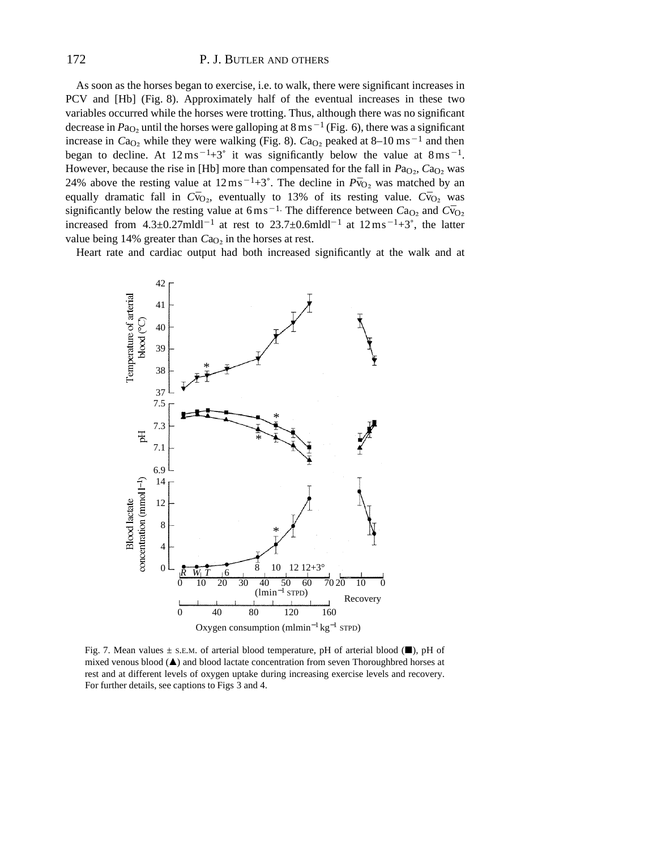# 172 P. J. BUTLER AND OTHERS

As soon as the horses began to exercise, i.e. to walk, there were significant increases in PCV and [Hb] (Fig. 8). Approximately half of the eventual increases in these two variables occurred while the horses were trotting. Thus, although there was no significant decrease in  $Pa<sub>O2</sub>$  until the horses were galloping at  $8 \text{ ms}^{-1}$  (Fig. 6), there was a significant increase in  $Ca<sub>O<sub>2</sub></sub>$  while they were walking (Fig. 8).  $Ca<sub>O<sub>2</sub></sub>$  peaked at 8–10 ms<sup>-1</sup> and then began to decline. At  $12 \text{ ms}^{-1}+3\degree$  it was significantly below the value at  $8 \text{ ms}^{-1}$ . However, because the rise in [Hb] more than compensated for the fall in  $Pa<sub>O2</sub>$ ,  $Ca<sub>O2</sub>$  was 24% above the resting value at  $12 \text{ ms}^{-1}+3^{\circ}$ . The decline in  $P\bar{v}_{O_2}$  was matched by an equally dramatic fall in  $C\bar{v}_{O_2}$ , eventually to 13% of its resting value.  $C\bar{v}_{O_2}$  was significantly below the resting value at 6ms<sup>-1.</sup> The difference between  $Ca<sub>O<sub>2</sub></sub>$  and  $C\bar{v}<sub>O<sub>2</sub></sub>$ increased from  $4.3\pm0.27$ mldl<sup>-1</sup> at rest to  $23.7\pm0.6$ mldl<sup>-1</sup> at  $12 \text{ ms}^{-1}+3^{\circ}$ , the latter value being 14% greater than *C*a<sub>O</sub>, in the horses at rest.

Heart rate and cardiac output had both increased significantly at the walk and at



Fig. 7. Mean values  $\pm$  s.e.m. of arterial blood temperature, pH of arterial blood ( $\blacksquare$ ), pH of mixed venous blood  $(\triangle)$  and blood lactate concentration from seven Thoroughbred horses at rest and at different levels of oxygen uptake during increasing exercise levels and recovery. For further details, see captions to Figs 3 and 4.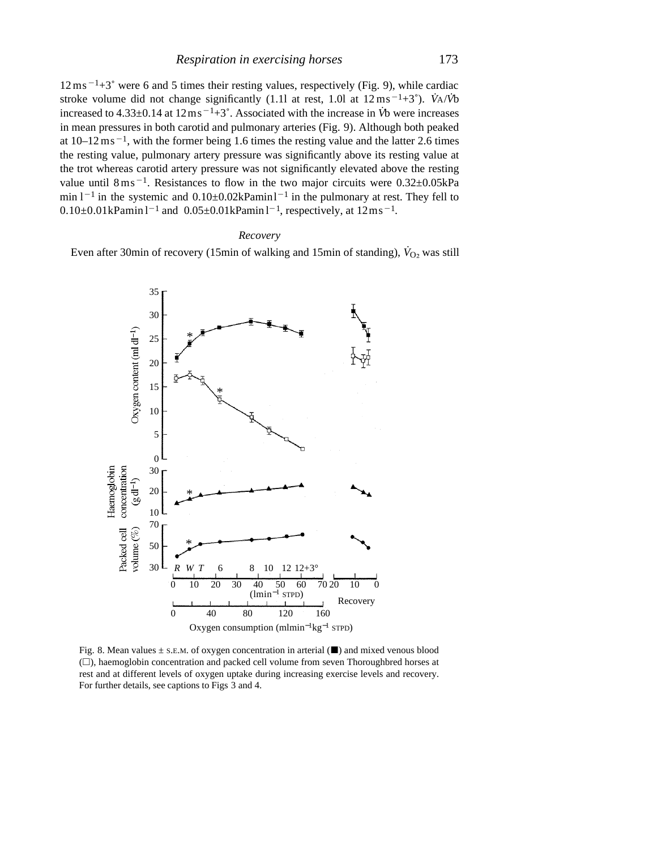$12 \text{ ms}^{-1}$ +3° were 6 and 5 times their resting values, respectively (Fig. 9), while cardiac stroke volume did not change significantly (1.1l at rest, 1.0l at  $12 \text{ ms}^{-1}+3^{\circ}$ ). *V*<sup>A</sup>/*V*<sup>b</sup> increased to  $4.33\pm0.14$  at  $12\,\text{ms}^{-1}+3^\circ$ . Associated with the increase in *V*<sup>b</sup> were increases in mean pressures in both carotid and pulmonary arteries (Fig. 9). Although both peaked at  $10-12$  ms<sup> $-1$ </sup>, with the former being 1.6 times the resting value and the latter 2.6 times the resting value, pulmonary artery pressure was significantly above its resting value at the trot whereas carotid artery pressure was not significantly elevated above the resting value until  $8 \text{ ms}^{-1}$ . Resistances to flow in the two major circuits were  $0.32 \pm 0.05 \text{kPa}$ min  $1^{-1}$  in the systemic and  $0.10\pm0.02$  kPamin  $1^{-1}$  in the pulmonary at rest. They fell to  $0.10\pm0.01$ kPamin l<sup>-1</sup> and  $0.05\pm0.01$ kPamin l<sup>-1</sup>, respectively, at  $12$ ms<sup>-1</sup>.

# *Recovery*

Even after 30min of recovery (15min of walking and 15min of standing),  $\dot{V}_{O_2}$  was still



Fig. 8. Mean values  $\pm$  S.E.M. of oxygen concentration in arterial ( $\blacksquare$ ) and mixed venous blood  $(\square)$ , haemoglobin concentration and packed cell volume from seven Thoroughbred horses at rest and at different levels of oxygen uptake during increasing exercise levels and recovery. For further details, see captions to Figs 3 and 4.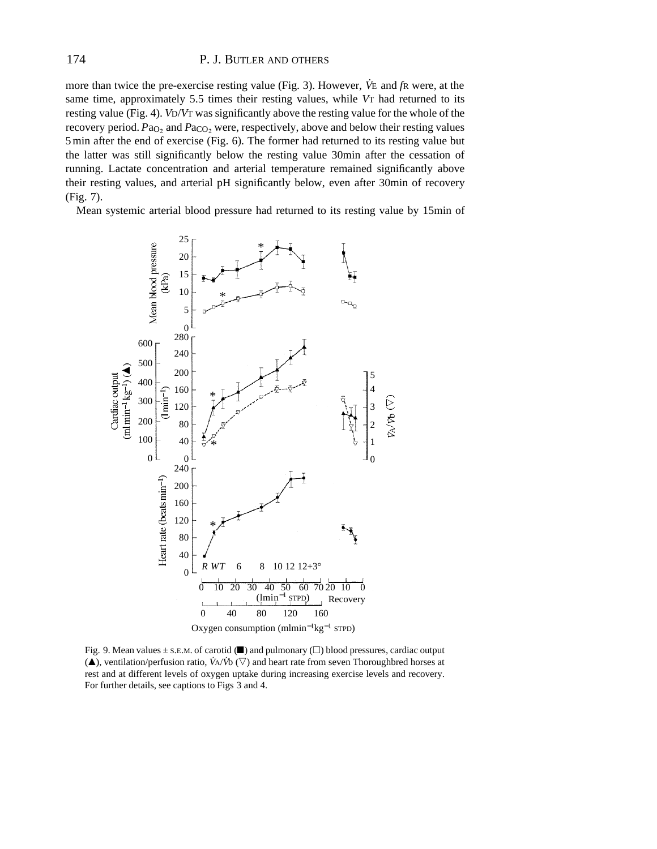more than twice the pre-exercise resting value (Fig. 3). However, *V˙*<sup>E</sup> and *f*<sup>R</sup> were, at the same time, approximately 5.5 times their resting values, while *V*T had returned to its resting value (Fig. 4). *V*D/*V*T was significantly above the resting value for the whole of the recovery period. *Pa*<sub>O2</sub> and *Pa*<sub>CO2</sub> were, respectively, above and below their resting values 5min after the end of exercise (Fig. 6). The former had returned to its resting value but the latter was still significantly below the resting value 30min after the cessation of running. Lactate concentration and arterial temperature remained significantly above their resting values, and arterial pH significantly below, even after 30min of recovery (Fig. 7).

Mean systemic arterial blood pressure had returned to its resting value by 15min of



Fig. 9. Mean values  $\pm$  S.E.M. of carotid ( $\blacksquare$ ) and pulmonary ( $\square$ ) blood pressures, cardiac output  $(\triangle)$ , ventilation/perfusion ratio, *VA*/*V*<sup>t</sup>o ( $\nabla$ ) and heart rate from seven Thoroughbred horses at rest and at different levels of oxygen uptake during increasing exercise levels and recovery. For further details, see captions to Figs 3 and 4.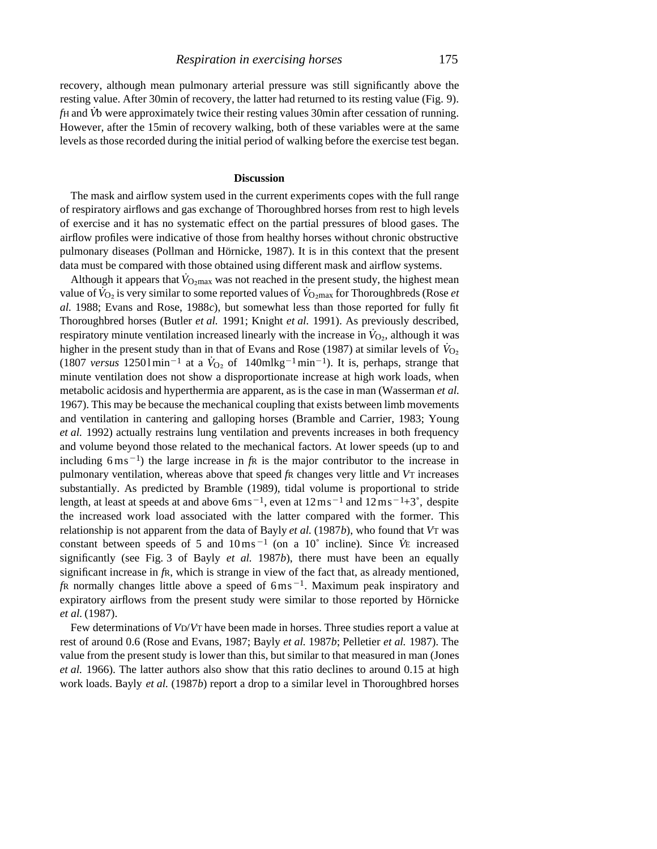recovery, although mean pulmonary arterial pressure was still significantly above the resting value. After 30min of recovery, the latter had returned to its resting value (Fig. 9). *fH* and *V*<sup>b</sup> were approximately twice their resting values 30min after cessation of running. However, after the 15min of recovery walking, both of these variables were at the same levels as those recorded during the initial period of walking before the exercise test began.

## **Discussion**

The mask and airflow system used in the current experiments copes with the full range of respiratory airflows and gas exchange of Thoroughbred horses from rest to high levels of exercise and it has no systematic effect on the partial pressures of blood gases. The airflow profiles were indicative of those from healthy horses without chronic obstructive pulmonary diseases (Pollman and Hörnicke, 1987). It is in this context that the present data must be compared with those obtained using different mask and airflow systems.

Although it appears that  $\dot{V}_{\text{O}_2\text{max}}$  was not reached in the present study, the highest mean value of  $V_{\text{O}_2}$  is very similar to some reported values of  $V_{\text{O}_2\text{max}}$  for Thoroughbreds (Rose *et al.* 1988; Evans and Rose, 1988*c*), but somewhat less than those reported for fully fit Thoroughbred horses (Butler *et al.* 1991; Knight *et al.* 1991). As previously described, respiratory minute ventilation increased linearly with the increase in  $\dot{V}_{\text{O}_2}$ , although it was higher in the present study than in that of Evans and Rose (1987) at similar levels of  $\dot{V}_{O_2}$ (1807 *versus* 12501 min<sup>-1</sup> at a  $\dot{V}_{O_2}$  of 140mlkg<sup>-1</sup> min<sup>-1</sup>). It is, perhaps, strange that minute ventilation does not show a disproportionate increase at high work loads, when metabolic acidosis and hyperthermia are apparent, as is the case in man (Wasserman *et al.* 1967). This may be because the mechanical coupling that exists between limb movements and ventilation in cantering and galloping horses (Bramble and Carrier, 1983; Young *et al.* 1992) actually restrains lung ventilation and prevents increases in both frequency and volume beyond those related to the mechanical factors. At lower speeds (up to and including  $6 \text{ ms}^{-1}$ ) the large increase in  $f \text{R}$  is the major contributor to the increase in pulmonary ventilation, whereas above that speed *f*R changes very little and *V*T increases substantially. As predicted by Bramble (1989), tidal volume is proportional to stride length, at least at speeds at and above  $6 \text{m s}^{-1}$ , even at  $12 \text{m s}^{-1}$  and  $12 \text{m s}^{-1}+3^{\circ}$ , despite the increased work load associated with the latter compared with the former. This relationship is not apparent from the data of Bayly *et al.* (1987*b*), who found that *V*T was constant between speeds of 5 and  $10 \text{ ms}^{-1}$  (on a 10 $\degree$  incline). Since  $\dot{V}$ E increased significantly (see Fig. 3 of Bayly *et al.* 1987*b*), there must have been an equally significant increase in *f*R, which is strange in view of the fact that, as already mentioned,  $f$ R normally changes little above a speed of  $6 \text{ ms}^{-1}$ . Maximum peak inspiratory and expiratory airflows from the present study were similar to those reported by Hörnicke *et al.* (1987).

Few determinations of *V*D/*V*T have been made in horses. Three studies report a value at rest of around 0.6 (Rose and Evans, 1987; Bayly *et al.* 1987*b*; Pelletier *et al.* 1987). The value from the present study is lower than this, but similar to that measured in man (Jones *et al.* 1966). The latter authors also show that this ratio declines to around 0.15 at high work loads. Bayly *et al.* (1987*b*) report a drop to a similar level in Thoroughbred horses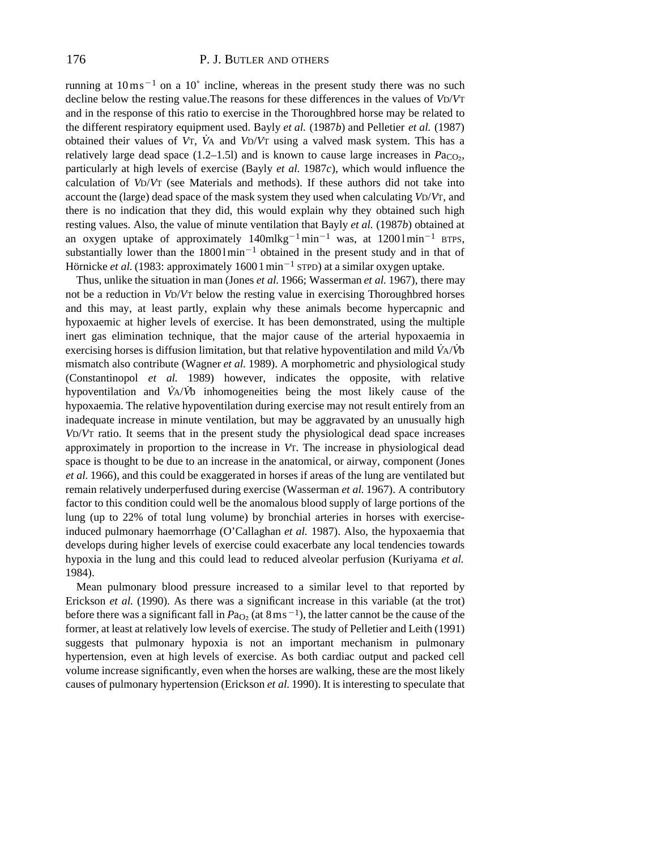running at  $10 \text{ ms}^{-1}$  on a  $10^{\circ}$  incline, whereas in the present study there was no such decline below the resting value.The reasons for these differences in the values of *V*D/*V*T and in the response of this ratio to exercise in the Thoroughbred horse may be related to the different respiratory equipment used. Bayly *et al.* (1987*b*) and Pelletier *et al.* (1987) obtained their values of *V*T, *V˙*<sup>A</sup> and *V*D/*V*<sup>T</sup> using a valved mask system. This has a relatively large dead space  $(1.2-1.5)$  and is known to cause large increases in  $P_{\alpha_{\text{CO}}}$ , particularly at high levels of exercise (Bayly *et al.* 1987*c*), which would influence the calculation of *V*D/*V*T (see Materials and methods). If these authors did not take into account the (large) dead space of the mask system they used when calculating *V*D/*V*T, and there is no indication that they did, this would explain why they obtained such high resting values. Also, the value of minute ventilation that Bayly *et al.* (1987*b*) obtained at an oxygen uptake of approximately  $140m\log^{-1}$ min<sup>-1</sup> was, at  $12001 \text{min}^{-1}$  BTPS, substantially lower than the  $18001 \text{min}^{-1}$  obtained in the present study and in that of Hörnicke *et al.* (1983: approximately 1600  $1 \text{ min}^{-1}$  strpp) at a similar oxygen uptake.

Thus, unlike the situation in man (Jones *et al.* 1966; Wasserman *et al.* 1967), there may not be a reduction in *V*D/*V*T below the resting value in exercising Thoroughbred horses and this may, at least partly, explain why these animals become hypercapnic and hypoxaemic at higher levels of exercise. It has been demonstrated, using the multiple inert gas elimination technique, that the major cause of the arterial hypoxaemia in exercising horses is diffusion limitation, but that relative hypoventilation and mild *V˙*A/*V˙*b mismatch also contribute (Wagner *et al.* 1989). A morphometric and physiological study (Constantinopol *et al.* 1989) however, indicates the opposite, with relative hypoventilation and *V˙*A/*V˙*b inhomogeneities being the most likely cause of the hypoxaemia. The relative hypoventilation during exercise may not result entirely from an inadequate increase in minute ventilation, but may be aggravated by an unusually high *V*D/*V*T ratio. It seems that in the present study the physiological dead space increases approximately in proportion to the increase in *V*T. The increase in physiological dead space is thought to be due to an increase in the anatomical, or airway, component (Jones *et al.* 1966), and this could be exaggerated in horses if areas of the lung are ventilated but remain relatively underperfused during exercise (Wasserman *et al.* 1967). A contributory factor to this condition could well be the anomalous blood supply of large portions of the lung (up to 22% of total lung volume) by bronchial arteries in horses with exerciseinduced pulmonary haemorrhage (O'Callaghan *et al.* 1987). Also, the hypoxaemia that develops during higher levels of exercise could exacerbate any local tendencies towards hypoxia in the lung and this could lead to reduced alveolar perfusion (Kuriyama *et al.* 1984).

Mean pulmonary blood pressure increased to a similar level to that reported by Erickson *et al.* (1990). As there was a significant increase in this variable (at the trot) before there was a significant fall in  $Pa<sub>O<sub>2</sub></sub>$  (at  $8 \text{ ms}^{-1}$ ), the latter cannot be the cause of the former, at least at relatively low levels of exercise. The study of Pelletier and Leith (1991) suggests that pulmonary hypoxia is not an important mechanism in pulmonary hypertension, even at high levels of exercise. As both cardiac output and packed cell volume increase significantly, even when the horses are walking, these are the most likely causes of pulmonary hypertension (Erickson *et al.* 1990). It is interesting to speculate that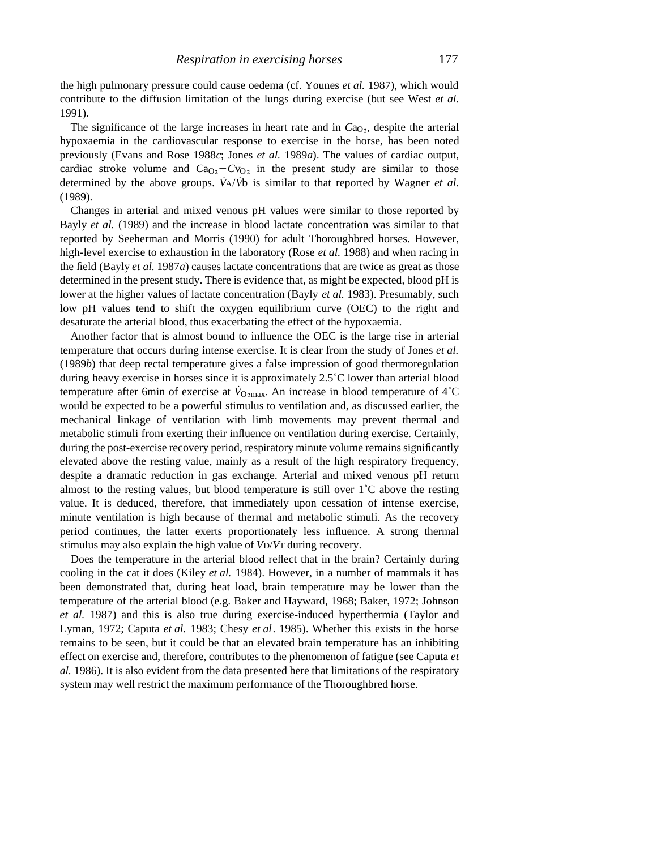the high pulmonary pressure could cause oedema (cf. Younes *et al.* 1987), which would contribute to the diffusion limitation of the lungs during exercise (but see West *et al.* 1991).

The significance of the large increases in heart rate and in  $Ca<sub>O<sub>2</sub></sub>$ , despite the arterial hypoxaemia in the cardiovascular response to exercise in the horse, has been noted previously (Evans and Rose 1988*c*; Jones *et al.* 1989*a*). The values of cardiac output, cardiac stroke volume and  $Ca<sub>O2</sub>-C\bar{v}<sub>O2</sub>$  in the present study are similar to those determined by the above groups. *V˙*A/*V˙*b is similar to that reported by Wagner *et al.* (1989).

Changes in arterial and mixed venous pH values were similar to those reported by Bayly *et al.* (1989) and the increase in blood lactate concentration was similar to that reported by Seeherman and Morris (1990) for adult Thoroughbred horses. However, high-level exercise to exhaustion in the laboratory (Rose *et al.* 1988) and when racing in the field (Bayly *et al.* 1987*a*) causes lactate concentrations that are twice as great as those determined in the present study. There is evidence that, as might be expected, blood pH is lower at the higher values of lactate concentration (Bayly *et al.* 1983). Presumably, such low pH values tend to shift the oxygen equilibrium curve (OEC) to the right and desaturate the arterial blood, thus exacerbating the effect of the hypoxaemia.

Another factor that is almost bound to influence the OEC is the large rise in arterial temperature that occurs during intense exercise. It is clear from the study of Jones *et al.* (1989*b*) that deep rectal temperature gives a false impression of good thermoregulation during heavy exercise in horses since it is approximately 2.5˚C lower than arterial blood temperature after 6min of exercise at  $\dot{V}_{\text{O}_2\text{max}}$ . An increase in blood temperature of 4°C would be expected to be a powerful stimulus to ventilation and, as discussed earlier, the mechanical linkage of ventilation with limb movements may prevent thermal and metabolic stimuli from exerting their influence on ventilation during exercise. Certainly, during the post-exercise recovery period, respiratory minute volume remains significantly elevated above the resting value, mainly as a result of the high respiratory frequency, despite a dramatic reduction in gas exchange. Arterial and mixed venous pH return almost to the resting values, but blood temperature is still over  $1^{\circ}C$  above the resting value. It is deduced, therefore, that immediately upon cessation of intense exercise, minute ventilation is high because of thermal and metabolic stimuli. As the recovery period continues, the latter exerts proportionately less influence. A strong thermal stimulus may also explain the high value of *V*D/*V*T during recovery.

Does the temperature in the arterial blood reflect that in the brain? Certainly during cooling in the cat it does (Kiley *et al.* 1984). However, in a number of mammals it has been demonstrated that, during heat load, brain temperature may be lower than the temperature of the arterial blood (e.g. Baker and Hayward, 1968; Baker, 1972; Johnson *et al.* 1987) and this is also true during exercise-induced hyperthermia (Taylor and Lyman, 1972; Caputa *et al.* 1983; Chesy *et al*. 1985). Whether this exists in the horse remains to be seen, but it could be that an elevated brain temperature has an inhibiting effect on exercise and, therefore, contributes to the phenomenon of fatigue (see Caputa *et al.* 1986). It is also evident from the data presented here that limitations of the respiratory system may well restrict the maximum performance of the Thoroughbred horse.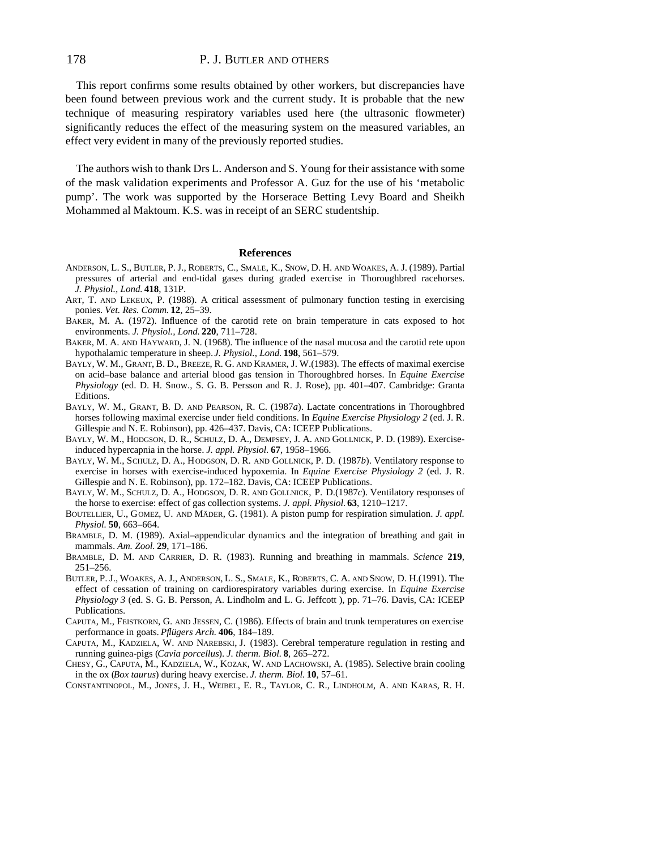This report confirms some results obtained by other workers, but discrepancies have been found between previous work and the current study. It is probable that the new technique of measuring respiratory variables used here (the ultrasonic flowmeter) significantly reduces the effect of the measuring system on the measured variables, an effect very evident in many of the previously reported studies.

The authors wish to thank Drs L. Anderson and S. Young for their assistance with some of the mask validation experiments and Professor A. Guz for the use of his 'metabolic pump'. The work was supported by the Horserace Betting Levy Board and Sheikh Mohammed al Maktoum. K.S. was in receipt of an SERC studentship.

#### **References**

- ANDERSON, L. S., BUTLER, P. J., ROBERTS, C., SMALE, K., SNOW, D. H. AND WOAKES, A. J. (1989). Partial pressures of arterial and end-tidal gases during graded exercise in Thoroughbred racehorses. *J. Physiol., Lond.* **418**, 131P.
- ART, T. AND LEKEUX, P. (1988). A critical assessment of pulmonary function testing in exercising ponies. *Vet. Res. Comm.* **12**, 25–39.
- BAKER, M. A. (1972). Influence of the carotid rete on brain temperature in cats exposed to hot environments. *J. Physiol., Lond.* **220**, 711–728.
- BAKER, M. A. AND HAYWARD, J. N. (1968). The influence of the nasal mucosa and the carotid rete upon hypothalamic temperature in sheep. *J. Physiol., Lond.* **198**, 561–579.
- BAYLY, W. M., GRANT, B. D., BREEZE, R. G. AND KRAMER, J. W.(1983). The effects of maximal exercise on acid–base balance and arterial blood gas tension in Thoroughbred horses. In *Equine Exercise Physiology* (ed. D. H. Snow., S. G. B. Persson and R. J. Rose), pp. 401–407. Cambridge: Granta Editions.
- BAYLY, W. M., GRANT, B. D. AND PEARSON, R. C. (1987*a*). Lactate concentrations in Thoroughbred horses following maximal exercise under field conditions. In *Equine Exercise Physiology 2* (ed. J. R. Gillespie and N. E. Robinson), pp. 426–437. Davis, CA: ICEEP Publications.
- BAYLY, W. M., HODGSON, D. R., SCHULZ, D. A., DEMPSEY, J. A. AND GOLLNICK, P. D. (1989). Exerciseinduced hypercapnia in the horse. *J. appl. Physiol.* **67**, 1958–1966.
- BAYLY, W. M., SCHULZ, D. A., HODGSON, D. R. AND GOLLNICK, P. D. (1987*b*). Ventilatory response to exercise in horses with exercise-induced hypoxemia. In *Equine Exercise Physiology 2* (ed. J. R. Gillespie and N. E. Robinson), pp. 172–182. Davis, CA: ICEEP Publications.
- BAYLY, W. M., SCHULZ, D. A., HODGSON, D. R. AND GOLLNICK, P. D.(1987*c*). Ventilatory responses of the horse to exercise: effect of gas collection systems. *J. appl. Physiol.* **63**, 1210–1217.
- BOUTELLIER, U., GOMEZ, U. AND MÄDER, G. (1981). A piston pump for respiration simulation. *J. appl. Physiol.* **50**, 663–664.
- BRAMBLE, D. M. (1989). Axial–appendicular dynamics and the integration of breathing and gait in mammals. *Am. Zool.* **29**, 171–186.
- BRAMBLE, D. M. AND CARRIER, D. R. (1983). Running and breathing in mammals. *Science* **219**, 251–256.
- BUTLER, P. J., WOAKES, A. J., ANDERSON, L. S., SMALE, K., ROBERTS, C. A. AND SNOW, D. H.(1991). The effect of cessation of training on cardiorespiratory variables during exercise. In *Equine Exercise Physiology 3* (ed. S. G. B. Persson, A. Lindholm and L. G. Jeffcott ), pp. 71–76. Davis, CA: ICEEP Publications.
- CAPUTA, M., FEISTKORN, G. AND JESSEN, C. (1986). Effects of brain and trunk temperatures on exercise performance in goats. *Pflügers Arch.* **406**, 184–189.
- CAPUTA, M., KADZIELA, W. AND NAREBSKI, J. (1983). Cerebral temperature regulation in resting and running guinea-pigs (*Cavia porcellus*). *J. therm. Biol.* **8**, 265–272.
- CHESY, G., CAPUTA, M., KADZIELA, W., KOZAK, W. AND LACHOWSKI, A. (1985). Selective brain cooling in the ox (*Box taurus*) during heavy exercise. *J. therm. Biol.* **10**, 57–61.
- CONSTANTINOPOL, M., JONES, J. H., WEIBEL, E. R., TAYLOR, C. R., LINDHOLM, A. AND KARAS, R. H.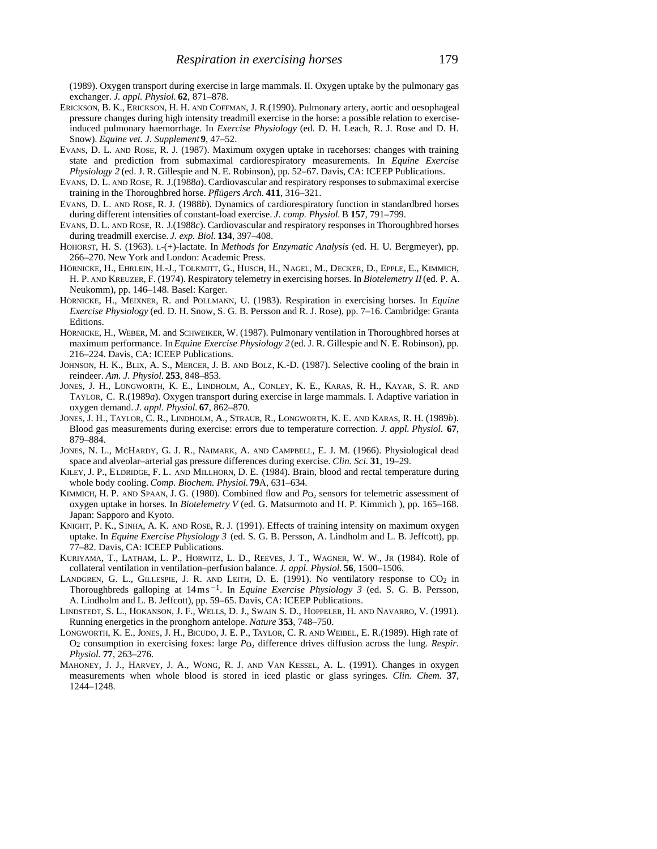(1989). Oxygen transport during exercise in large mammals. II. Oxygen uptake by the pulmonary gas exchanger. *J. appl. Physiol.* **62**, 871–878.

- ERICKSON, B. K., ERICKSON, H. H. AND COFFMAN, J. R.(1990). Pulmonary artery, aortic and oesophageal pressure changes during high intensity treadmill exercise in the horse: a possible relation to exerciseinduced pulmonary haemorrhage. In *Exercise Physiology* (ed. D. H. Leach, R. J. Rose and D. H. Snow). *Equine vet. J. Supplement* **9**, 47–52.
- EVANS, D. L. AND ROSE, R. J. (1987). Maximum oxygen uptake in racehorses: changes with training state and prediction from submaximal cardiorespiratory measurements. In *Equine Exercise Physiology 2* (ed. J. R. Gillespie and N. E. Robinson), pp. 52–67. Davis, CA: ICEEP Publications.
- EVANS, D. L. AND ROSE, R. J.(1988*a*). Cardiovascular and respiratory responses to submaximal exercise training in the Thoroughbred horse. *Pflügers Arch*. **411**, 316–321.
- EVANS, D. L. AND ROSE, R. J. (1988*b*). Dynamics of cardiorespiratory function in standardbred horses during different intensities of constant-load exercise. *J. comp. Physiol.* B **157**, 791–799.
- EVANS, D. L. AND ROSE, R. J.(1988*c*). Cardiovascular and respiratory responses in Thoroughbred horses during treadmill exercise. *J. exp. Biol.* **134**, 397–408.
- HOHORST, H. S. (1963). L-(+)-lactate. In *Methods for Enzymatic Analysis* (ed. H. U. Bergmeyer), pp. 266–270. New York and London: Academic Press.
- HÖRNICKE, H., EHRLEIN, H.-J., TOLKMITT, G., HUSCH, H., NAGEL, M., DECKER, D., EPPLE, E., KIMMICH, H. P. AND KREUZER, F. (1974). Respiratory telemetry in exercising horses. In *Biotelemetry II*(ed. P. A. Neukomm), pp. 146–148. Basel: Karger.
- HÖRNICKE, H., MEIXNER, R. and POLLMANN, U. (1983). Respiration in exercising horses. In *Equine Exercise Physiology* (ed. D. H. Snow, S. G. B. Persson and R. J. Rose), pp. 7–16. Cambridge: Granta Editions.
- HÖRNICKE, H., WEBER, M. and SCHWEIKER, W. (1987). Pulmonary ventilation in Thoroughbred horses at maximum performance. In *Equine Exercise Physiology 2* (ed. J. R. Gillespie and N. E. Robinson), pp. 216–224. Davis, CA: ICEEP Publications.
- JOHNSON, H. K., BLIX, A. S., MERCER, J. B. AND BOLZ, K.-D. (1987). Selective cooling of the brain in reindeer. *Am. J. Physiol.* **253**, 848–853.
- JONES, J. H., LONGWORTH, K. E., LINDHOLM, A., CONLEY, K. E., KARAS, R. H., KAYAR, S. R. AND TAYLOR, C. R.(1989*a*). Oxygen transport during exercise in large mammals. I. Adaptive variation in oxygen demand. *J. appl. Physiol.* **67**, 862–870.
- JONES, J. H., TAYLOR, C. R., LINDHOLM, A., STRAUB, R., LONGWORTH, K. E. AND KARAS, R. H. (1989*b*). Blood gas measurements during exercise: errors due to temperature correction. *J. appl. Physiol.* **67**, 879–884.
- JONES, N. L., MCHARDY, G. J. R., NAIMARK, A. AND CAMPBELL, E. J. M. (1966). Physiological dead space and alveolar–arterial gas pressure differences during exercise. *Clin. Sci.* **31**, 19–29.
- KILEY, J. P., ELDRIDGE, F. L. AND MILLHORN, D. E. (1984). Brain, blood and rectal temperature during whole body cooling. *Comp. Biochem. Physiol.* **79**A, 631–634.
- KIMMICH, H. P. AND SPAAN, J. G. (1980). Combined flow and *P*<sub>O2</sub> sensors for telemetric assessment of oxygen uptake in horses. In *Biotelemetry V* (ed. G. Matsurmoto and H. P. Kimmich ), pp. 165–168. Japan: Sapporo and Kyoto.
- KNIGHT, P. K., SINHA, A. K. AND ROSE, R. J. (1991). Effects of training intensity on maximum oxygen uptake. In *Equine Exercise Physiology 3* (ed. S. G. B. Persson, A. Lindholm and L. B. Jeffcott), pp. 77–82. Davis, CA: ICEEP Publications.
- KURIYAMA, T., LATHAM, L. P., HORWITZ, L. D., REEVES, J. T., WAGNER, W. W., JR (1984). Role of collateral ventilation in ventilation–perfusion balance. *J. appl. Physiol.* **56**, 1500–1506.
- LANDGREN, G. L., GILLESPIE, J. R. AND LEITH, D. E.  $(1991)$ . No ventilatory response to  $CO<sub>2</sub>$  in Thoroughbreds galloping at  $14 \text{ ms}^{-1}$ . In *Equine Exercise Physiology 3* (ed. S. G. B. Persson, A. Lindholm and L. B. Jeffcott), pp. 59–65. Davis, CA: ICEEP Publications.
- LINDSTEDT, S. L., HOKANSON, J. F., WELLS, D. J., SWAIN S. D., HOPPELER, H. AND NAVARRO, V. (1991). Running energetics in the pronghorn antelope. *Nature* **353**, 748–750.
- LONGWORTH, K. E., JONES, J. H., BICUDO, J. E. P., TAYLOR, C. R. AND WEIBEL, E. R.(1989). High rate of O2 consumption in exercising foxes: large *P*O∑ difference drives diffusion across the lung. *Respir. Physiol.* **77**, 263–276.
- MAHONEY, J. J., HARVEY, J. A., WONG, R. J. AND VAN KESSEL, A. L. (1991). Changes in oxygen measurements when whole blood is stored in iced plastic or glass syringes. *Clin. Chem.* **37**, 1244–1248.